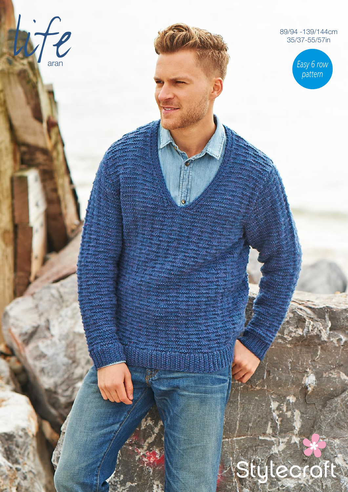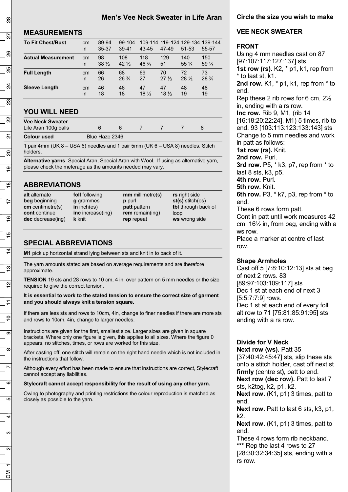### **Men's Vee Neck Sweater in Life Aran**

#### **MEASUREMENTS**

| <b>To Fit Chest/Bust</b>  | cm<br>in | 89-94<br>35-37  | 99-104<br>$39 - 41$ | 43-45           | 47-49           | 109-114 119-124 129-134 139-144<br>$51 - 53$ | 55-57           |
|---------------------------|----------|-----------------|---------------------|-----------------|-----------------|----------------------------------------------|-----------------|
| <b>Actual Measurement</b> | cm       | 98              | 108                 | 118             | 129             | 140                                          | 150             |
|                           | in       | $38\frac{1}{2}$ | $42\frac{1}{2}$     | $46\frac{3}{4}$ | 51              | $55\frac{1}{4}$                              | 59 1/4          |
| <b>Full Length</b>        | cm       | 66              | 68                  | 69              | 70              | 72                                           | 73              |
|                           | in       | 26              | $26\frac{3}{4}$     | 27              | $27\frac{1}{2}$ | $28\frac{1}{2}$                              | $28\frac{3}{4}$ |
| <b>Sleeve Length</b>      | cm       | 46              | 46                  | 47              | 47              | 48                                           | 48              |
|                           | in       | 18              | 18                  | $18\frac{1}{2}$ | $18\frac{1}{2}$ | 19                                           | 19              |

## **YOU WILL NEED**

| <b>Vee Neck Sweater</b><br>Life Aran 100g balls |                | 6 |  |  |  |
|-------------------------------------------------|----------------|---|--|--|--|
| <b>Colour used</b>                              | Blue Haze 2346 |   |  |  |  |

1 pair 4mm (UK 8 – USA 6) needles and 1 pair 5mm (UK 6 – USA 8) needles. Stitch holders.

**Alternative yarns** Special Aran, Special Aran with Wool. If using as alternative yarn, please check the meterage as the amounts needed may vary.

# **ABBREVIATIONS**

| alt alternate            |
|--------------------------|
| beg beginning            |
| $cm$ centimetre(s)       |
| cont continue            |
| <b>dec</b> decrease(ing) |

**foll** following **g** grammes **in** inch(es) **inc** increase(ing) **k** knit

**mm** millimetre(s**) p** purl **patt** pattern **rem** remain(ing) **rep** repeat

**rs** right side **st(s)** stitch(es) **tbl** through back of loop **ws** wrong side

# **SPECIAL ABBREVIATIONS**

**M1** pick up horizontal strand lying between sts and knit in to back of it.

The yarn amounts stated are based on average requirements and are therefore approximate.

**TENSION** 19 sts and 28 rows to 10 cm, 4 in, over pattern on 5 mm needles or the size required to give the correct tension.

#### **It is essential to work to the stated tension to ensure the correct size of garment and you should always knit a tension square.**

If there are less sts and rows to 10cm, 4in, change to finer needles if there are more sts and rows to 10cm, 4in, change to larger needles.

Instructions are given for the first, smallest size. Larger sizes are given in square brackets. Where only one figure is given, this applies to all sizes. Where the figure 0 appears, no stitches, times, or rows are worked for this size.

After casting off, one stitch will remain on the right hand needle which is not included in the instructions that follow.

Although every effort has been made to ensure that instructions are correct, Stylecraft cannot accept any liabilities.

### **Stylecraft cannot accept responsibility for the result of using any other yarn.**

Owing to photography and printing restrictions the colour reproduction is matched as closely as possible to the yarn.

### **Circle the size you wish to make**

# **VEE NECK SWEATER**

## **FRONT**

Using 4 mm needles cast on 87 [97:107:117:127:137] sts. **1st row (rs).** K2, \* p1, k1, rep from \* to last st, k1. **2nd row.** K1, \* p1, k1, rep from \* to end. Rep these 2 rib rows for 6 cm, 2½ in, ending with a rs row. **Inc row.** Rib 9, M1, (rib 14 [16:18:20:22:24], M1) 5 times, rib to end. 93 [103:113:123:133:143] sts Change to 5 mm needles and work in patt as follows:- **1st row (rs).** Knit. 2nd row. Purl. **3rd row.** P5, \* k3, p7, rep from \* to last 8 sts, k3, p5. **4th row. Purl. 5th row.** Knit. **6th row.** P3, \* k7, p3, rep from \* to end. These 6 rows form patt. Cont in patt until work measures 42 cm, 16½ in, from beg, ending with a ws row. Place a marker at centre of last row.

### **Shape Armholes**

Cast off 5 [7:8:10:12:13] sts at beg of next 2 rows. 83 [89:97:103:109:117] sts Dec 1 st at each end of next 3 [5:5:7:7:9] rows. Dec 1 st at each end of every foll alt row to 71 [75:81:85:91:95] sts ending with a rs row.

### **Divide for V Neck**

**Next row (ws). Patt 35** [37:40:42:45:47] sts, slip these sts onto a stitch holder, cast off next st **firmly** (centre st**)**, patt to end. **Next row (dec row).** Patt to last 7 sts, k2tog, k2, p1, k2. **Next row.** (K1, p1) 3 times, patt to end. **Next row.** Patt to last 6 sts, k3, p1, k2. **Next row.** (K1, p1) 3 times, patt to end. These 4 rows form rib neckband. **\*\*\*** Rep the last 4 rows to 27

[28:30:32:34:35] sts, ending with a rs row.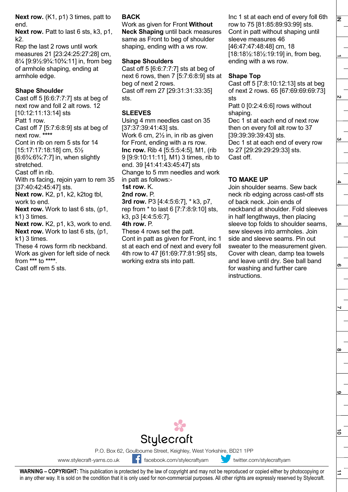**Next row.** (K1, p1) 3 times, patt to end.

**Next row.** Patt to last 6 sts, k3, p1, k2.

Rep the last 2 rows until work measures 21 [23:24:25:27:28] cm, 8¼ [9:9½:9¾:10¾:11] in, from beg of armhole shaping, ending at armhole edge.

#### **Shape Shoulder**

Cast off 5 [6:6:7:7:7] sts at beg of next row and foll 2 alt rows. 12 [10:12:11:13:14] sts Patt 1 row. Cast off 7 [5:7:6:8:9] sts at beg of next row. **\*\*\*\***  Cont in rib on rem 5 sts for 14 [15:17:17:18:18] cm, 5½ [6:6¾:6¾:7:7] in, when slightly stretched. Cast off in rib. With rs facing, rejoin yarn to rem 35 [37:40:42:45:47] sts. **Next row.** K2, p1, k2, k2tog tbl, work to end. **Next row.** Work to last 6 sts, (p1, k1) 3 times. **Next row.** K2, p1, k3, work to end. **Next row.** Work to last 6 sts, (p1, k1) 3 times.

These 4 rows form rib neckband. Work as given for left side of neck from **\*\*\*** to **\*\*\*\***.

Cast off rem 5 sts.

#### **BACK**

Work as given for Front **Without Neck Shaping** until back measures same as Front to beg of shoulder shaping, ending with a ws row.

#### **Shape Shoulders**

Cast off 5 [6:6:7:7:7] sts at beg of next 6 rows, then 7 [5:7:6:8:9] sts at beg of next 2 rows. Cast off rem 27 [29:31:31:33:35] sts.

### **SLEEVES**

Using 4 mm needles cast on 35 [37:37:39:41:43] sts. Work 6 cm, 2½ in, in rib as given for Front, ending with a rs row. **Inc row.** Rib 4 [5:5:5:4:5], M1, (rib 9 [9:9:10:11:11], M1) 3 times, rib to end. 39 [41:41:43:45:47] sts Change to 5 mm needles and work in patt as follows:-

**1st row.** K.

#### **2nd row.** P.

**3rd row.** P3 [4:4:5:6:7], \* k3, p7, rep from \* to last 6 [7:7:8:9:10] sts, k3, p3 [4:4:5:6:7].

#### **4th row.** P.

These 4 rows set the patt. Cont in patt as given for Front, inc 1 st at each end of next and every foll 4th row to 47 [61:69:77:81:95] sts, working extra sts into patt.

Inc 1 st at each end of every foll 6th row to 75 [81:85:89:93:99] sts. Cont in patt without shaping until sleeve measures 46 [46:47:47:48:48] cm, 18 [18:18½:18½:19:19] in, from beg, ending with a ws row.

### **Shape Top**

Cast off 5 [7:8:10:12:13] sts at beg of next 2 rows. 65 [67:69:69:69:73] sts

Patt 0 [0:2:4:6:6] rows without shaping.

Dec 1 st at each end of next row then on every foll alt row to 37 [39:39:39:39:43] sts. Dec 1 st at each end of every row to 27 [29:29:29:29:33] sts. Cast off.

## **TO MAKE UP**

Join shoulder seams. Sew back neck rib edging across cast-off sts of back neck. Join ends of neckband at shoulder. Fold sleeves in half lengthways, then placing sleeve top folds to shoulder seams, sew sleeves into armholes. Join side and sleeve seams. Pin out sweater to the measurement given. Cover with clean, damp tea towels and leave until dry. See ball band for washing and further care instructions.

თ

ಕ

ュ

CΠ

 $\overline{z}$ 

N



P.O. Box 62, Goulbourne Street, Keighley, West Yorkshire, BD21 1PP

www.stylecraft-yarns.co.uk facebook.com/stylecraftyarn www.stylecraftyarn facebook.com/stylecraftyarn

**WARNING – COPYRIGHT:** This publication is protected by the law of copyright and may not be reproduced or copied either by photocopying or in any other way. It is sold on the condition that it is only used for non-commercial purposes. All other rights are expressly reserved by Stylecraft.